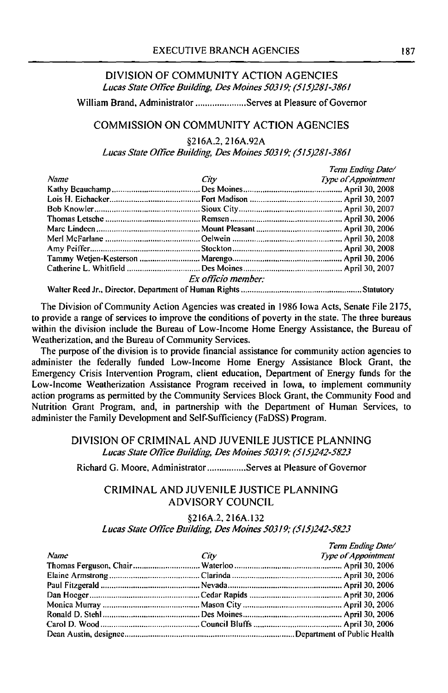## DIVISION OF COMMUNITY ACTION AGENCIES *Lucas State Offlce Building, Des Moines 50319; (515)281-3861*

William Brand, Administrator ..................... Serves at Pleasure of Governor

### COMMISSION ON COMMUNITY ACTION AGENCIES

§216A.2, 216A.92A

*Lucas State Offlce Building, Des Moines 50319; (515)281-3861* 

|      |                                                                                                                                                                                                                               | Term Ending Date/   |
|------|-------------------------------------------------------------------------------------------------------------------------------------------------------------------------------------------------------------------------------|---------------------|
| Name | City contract the contract of the contract of the contract of the contract of the contract of the contract of the contract of the contract of the contract of the contract of the contract of the contract of the contract of | Type of Appointment |
|      |                                                                                                                                                                                                                               |                     |
|      |                                                                                                                                                                                                                               |                     |
|      |                                                                                                                                                                                                                               |                     |
|      |                                                                                                                                                                                                                               |                     |
|      |                                                                                                                                                                                                                               |                     |
|      |                                                                                                                                                                                                                               |                     |
|      |                                                                                                                                                                                                                               |                     |
|      |                                                                                                                                                                                                                               |                     |
|      |                                                                                                                                                                                                                               |                     |
|      | Ex officio member:                                                                                                                                                                                                            |                     |
|      |                                                                                                                                                                                                                               |                     |

The Division of Community Action Agencies was created in 1986 Iowa Acts, Senate File 2175, to provide a range of services to improve the conditions of poverty in the state. The three bureaus within the division include the Bureau of Low-Income Home Energy Assistance, the Bureau of Weatherization, and the Bureau of Community Services.

The purpose of the division is to provide financial assistance for community action agencies to administer the federally funded Low-Income Home Energy Assistance Block Grant, the Emergency Crisis Intervention Program, client education, Department of Energy funds for the Low-Income Weatherization Assistance Program received in Iowa, to implement community action programs as permitted by the Community Services Block Grant, the Community Food and Nutrition Grant Program, and, in partnership with the Department of Human Services, to administer the Family Development and Self-Sufficiency (FaDSS) Program.

## DIVISION OF CRIMINAL AND JUVENILE JUSTICE PLANNING *Lucas State Oflice Building, Des Moines 50319; (515)242-5823*

Richard G. Moore, Administrator ................ Serves at Pleasure of Governor

# CRIMINAL AND JUVENILE JUSTICE PLANNING ADVISORY COUNCIL

§216A.2, 216A.132

#### *Lucas State ODice Bw1ding, Des Moines 50319; (515)242-5823*

|      |      | Term Ending Date/   |
|------|------|---------------------|
| Name | City | Type of Appointment |
|      |      |                     |
|      |      |                     |
|      |      |                     |
|      |      |                     |
|      |      |                     |
|      |      |                     |
|      |      |                     |
|      |      |                     |